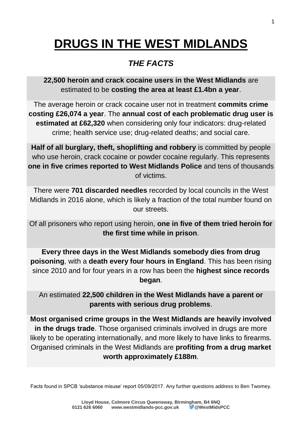# **DRUGS IN THE WEST MIDLANDS**

# *THE FACTS*

**22,500 heroin and crack cocaine users in the West Midlands** are estimated to be **costing the area at least £1.4bn a year**.

The average heroin or crack cocaine user not in treatment **commits crime costing £26,074 a year**. The **annual cost of each problematic drug user is estimated at £62,320** when considering only four indicators: drug-related crime; health service use; drug-related deaths; and social care.

**Half of all burglary, theft, shoplifting and robbery** is committed by people who use heroin, crack cocaine or powder cocaine regularly. This represents **one in five crimes reported to West Midlands Police** and tens of thousands of victims.

There were **701 discarded needles** recorded by local councils in the West Midlands in 2016 alone, which is likely a fraction of the total number found on our streets.

Of all prisoners who report using heroin, **one in five of them tried heroin for the first time while in prison**.

**Every three days in the West Midlands somebody dies from drug poisoning**, with a **death every four hours in England**. This has been rising since 2010 and for four years in a row has been the **highest since records began**.

An estimated **22,500 children in the West Midlands have a parent or parents with serious drug problems**.

**Most organised crime groups in the West Midlands are heavily involved in the drugs trade**. Those organised criminals involved in drugs are more likely to be operating internationally, and more likely to have links to firearms. Organised criminals in the West Midlands are **profiting from a drug market worth approximately £188m**.

Facts found in SPCB 'substance misuse' report 05/09/2017. Any further questions address to Ben Twomey.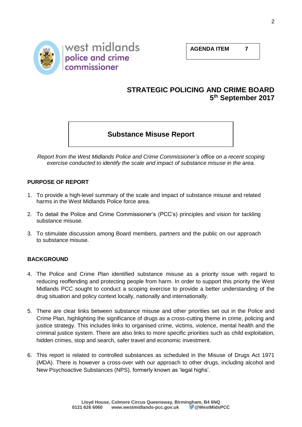**AGENDA ITEM 7**



### **STRATEGIC POLICING AND CRIME BOARD 5 th September 2017**

# **Substance Misuse Report**

*Report from the West Midlands Police and Crime Commissioner's office on a recent scoping exercise conducted to identify the scale and impact of substance misuse in the area.*

#### **PURPOSE OF REPORT**

- 1. To provide a high-level summary of the scale and impact of substance misuse and related harms in the West Midlands Police force area.
- 2. To detail the Police and Crime Commissioner's (PCC's) principles and vision for tackling substance misuse.
- 3. To stimulate discussion among Board members, partners and the public on our approach to substance misuse.

#### **BACKGROUND**

- 4. The Police and Crime Plan identified substance misuse as a priority issue with regard to reducing reoffending and protecting people from harm. In order to support this priority the West Midlands PCC sought to conduct a scoping exercise to provide a better understanding of the drug situation and policy context locally, nationally and internationally.
- 5. There are clear links between substance misuse and other priorities set out in the Police and Crime Plan, highlighting the significance of drugs as a cross-cutting theme in crime, policing and justice strategy. This includes links to organised crime, victims, violence, mental health and the criminal justice system. There are also links to more specific priorities such as child exploitation, hidden crimes, stop and search, safer travel and economic investment.
- 6. This report is related to controlled substances as scheduled in the Misuse of Drugs Act 1971 (MDA). There is however a cross-over with our approach to other drugs, including alcohol and New Psychoactive Substances (NPS), formerly known as 'legal highs'.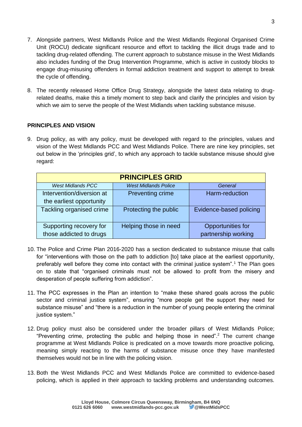- 7. Alongside partners, West Midlands Police and the West Midlands Regional Organised Crime Unit (ROCU) dedicate significant resource and effort to tackling the illicit drugs trade and to tackling drug-related offending. The current approach to substance misuse in the West Midlands also includes funding of the Drug Intervention Programme, which is active in custody blocks to engage drug-misusing offenders in formal addiction treatment and support to attempt to break the cycle of offending.
- 8. The recently released Home Office Drug Strategy, alongside the latest data relating to drugrelated deaths, make this a timely moment to step back and clarify the principles and vision by which we aim to serve the people of the West Midlands when tackling substance misuse.

#### **PRINCIPLES AND VISION**

9. Drug policy, as with any policy, must be developed with regard to the principles, values and vision of the West Midlands PCC and West Midlands Police. There are nine key principles, set out below in the 'principles grid', to which any approach to tackle substance misuse should give regard:

| <b>PRINCIPLES GRID</b>                                |                             |                                          |
|-------------------------------------------------------|-----------------------------|------------------------------------------|
| <b>West Midlands PCC</b>                              | <b>West Midlands Police</b> | General                                  |
| Intervention/diversion at<br>the earliest opportunity | <b>Preventing crime</b>     | Harm-reduction                           |
| Tackling organised crime                              | Protecting the public       | Evidence-based policing                  |
| Supporting recovery for<br>those addicted to drugs    | Helping those in need       | Opportunities for<br>partnership working |

- 10. The Police and Crime Plan 2016-2020 has a section dedicated to substance misuse that calls for "interventions with those on the path to addiction [to] take place at the earliest opportunity, preferably well before they come into contact with the criminal justice system".<sup>1</sup> The Plan goes on to state that "organised criminals must not be allowed to profit from the misery and desperation of people suffering from addiction".
- 11. The PCC expresses in the Plan an intention to "make these shared goals across the public sector and criminal justice system", ensuring "more people get the support they need for substance misuse" and "there is a reduction in the number of young people entering the criminal justice system."
- 12. Drug policy must also be considered under the broader pillars of West Midlands Police; "Preventing crime, protecting the public and helping those in need".<sup>2</sup> The current change programme at West Midlands Police is predicated on a move towards more proactive policing, meaning simply reacting to the harms of substance misuse once they have manifested themselves would not be in line with the policing vision.
- 13. Both the West Midlands PCC and West Midlands Police are committed to evidence-based policing, which is applied in their approach to tackling problems and understanding outcomes.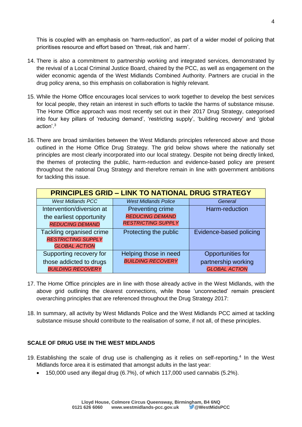This is coupled with an emphasis on 'harm-reduction', as part of a wider model of policing that prioritises resource and effort based on 'threat, risk and harm'.

- 14. There is also a commitment to partnership working and integrated services, demonstrated by the revival of a Local Criminal Justice Board, chaired by the PCC, as well as engagement on the wider economic agenda of the West Midlands Combined Authority. Partners are crucial in the drug policy arena, so this emphasis on collaboration is highly relevant.
- 15. While the Home Office encourages local services to work together to develop the best services for local people, they retain an interest in such efforts to tackle the harms of substance misuse. The Home Office approach was most recently set out in their 2017 Drug Strategy, categorised into four key pillars of 'reducing demand', 'restricting supply', 'building recovery' and 'global action'. 3
- 16. There are broad similarities between the West Midlands principles referenced above and those outlined in the Home Office Drug Strategy. The grid below shows where the nationally set principles are most clearly incorporated into our local strategy. Despite not being directly linked, the themes of protecting the public, harm-reduction and evidence-based policy are present throughout the national Drug Strategy and therefore remain in line with government ambitions for tackling this issue.

| <b>PRINCIPLES GRID - LINK TO NATIONAL DRUG STRATEGY</b> |                             |                          |
|---------------------------------------------------------|-----------------------------|--------------------------|
| <b>West Midlands PCC</b>                                | <b>West Midlands Police</b> | General                  |
| Intervention/diversion at                               | <b>Preventing crime</b>     | Harm-reduction           |
| the earliest opportunity                                | <b>REDUCING DEMAND</b>      |                          |
| <b>REDUCING DEMAND</b>                                  | <b>RESTRICTING SUPPLY</b>   |                          |
| Tackling organised crime                                | Protecting the public       | Evidence-based policing  |
| <b>RESTRICTING SUPPLY</b>                               |                             |                          |
| <b>GLOBAL ACTION</b>                                    |                             |                          |
| Supporting recovery for                                 | Helping those in need       | <b>Opportunities for</b> |
| those addicted to drugs                                 | <b>BUILDING RECOVERY</b>    | partnership working      |
| <b>BUILDING RECOVERY</b>                                |                             | <b>GLOBAL ACTION</b>     |

- 17. The Home Office principles are in line with those already active in the West Midlands, with the above grid outlining the clearest connections, while those 'unconnected' remain prescient overarching principles that are referenced throughout the Drug Strategy 2017:
- 18. In summary, all activity by West Midlands Police and the West Midlands PCC aimed at tackling substance misuse should contribute to the realisation of some, if not all, of these principles.

#### **SCALE OF DRUG USE IN THE WEST MIDLANDS**

- 19. Establishing the scale of drug use is challenging as it relies on self-reporting.<sup>4</sup> In the West Midlands force area it is estimated that amongst adults in the last year:
	- 150,000 used any illegal drug (6.7%), of which 117,000 used cannabis (5.2%).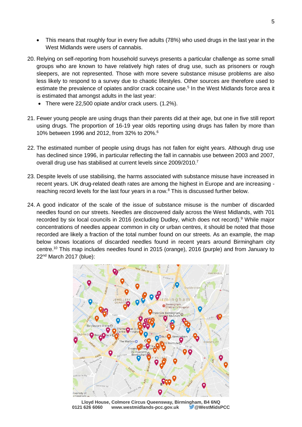- This means that roughly four in every five adults (78%) who used drugs in the last year in the West Midlands were users of cannabis.
- 20. Relying on self-reporting from household surveys presents a particular challenge as some small groups who are known to have relatively high rates of drug use, such as prisoners or rough sleepers, are not represented. Those with more severe substance misuse problems are also less likely to respond to a survey due to chaotic lifestyles. Other sources are therefore used to estimate the prevalence of opiates and/or crack cocaine use.<sup>5</sup> In the West Midlands force area it is estimated that amongst adults in the last year:
	- There were 22,500 opiate and/or crack users. (1.2%).
- 21. Fewer young people are using drugs than their parents did at their age, but one in five still report using drugs. The proportion of 16-19 year olds reporting using drugs has fallen by more than 10% between 1996 and 2012, from 32% to 20%.<sup>6</sup>
- 22. The estimated number of people using drugs has not fallen for eight years. Although drug use has declined since 1996, in particular reflecting the fall in cannabis use between 2003 and 2007, overall drug use has stabilised at current levels since 2009/2010.<sup>7</sup>
- 23. Despite levels of use stabilising, the harms associated with substance misuse have increased in recent years. UK drug-related death rates are among the highest in Europe and are increasing reaching record levels for the last four years in a row.<sup>8</sup> This is discussed further below.
- 24. A good indicator of the scale of the issue of substance misuse is the number of discarded needles found on our streets. Needles are discovered daily across the West Midlands, with 701 recorded by six local councils in 2016 (excluding Dudley, which does not record). <sup>9</sup> While major concentrations of needles appear common in city or urban centres, it should be noted that those recorded are likely a fraction of the total number found on our streets. As an example, the map below shows locations of discarded needles found in recent years around Birmingham city centre.<sup>10</sup> This map includes needles found in 2015 (orange), 2016 (purple) and from January to 22nd March 2017 (blue):



**Lloyd House, Colmore Circus Queensway, Birmingham, B4 6NQ** www.westmidlands-pcc.gov.uk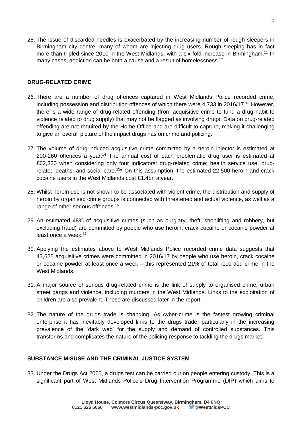25. The issue of discarded needles is exacerbated by the increasing number of rough sleepers in Birmingham city centre, many of whom are injecting drug users. Rough sleeping has in fact more than tripled since 2010 in the West Midlands, with a six-fold increase in Birmingham.<sup>11</sup> In many cases, addiction can be both a cause and a result of homelessness.<sup>12</sup>

#### **DRUG-RELATED CRIME**

- 26. There are a number of drug offences captured in West Midlands Police recorded crime, including possession and distribution offences of which there were 4,733 in 2016/17.<sup>13</sup> However, there is a wide range of drug-related offending (from acquisitive crime to fund a drug habit to violence related to drug supply) that may not be flagged as involving drugs. Data on drug-related offending are not required by the Home Office and are difficult to capture, making it challenging to give an overall picture of the impact drugs has on crime and policing.
- 27. The volume of drug-induced acquisitive crime committed by a heroin injector is estimated at  $200-260$  offences a year.<sup>14</sup> The annual cost of each problematic drug user is estimated at £62,320 when considering only four indicators: drug-related crime; health service use; drugrelated deaths; and social care.<sup>15\*</sup> On this assumption, the estimated 22,500 heroin and crack cocaine users in the West Midlands cost £1.4bn a year.
- 28. Whilst heroin use is not shown to be associated with violent crime, the distribution and supply of heroin by organised crime groups is connected with threatened and actual violence, as well as a range of other serious offences.<sup>16</sup>
- 29. An estimated 48% of acquisitive crimes (such as burglary, theft, shoplifting and robbery, but excluding fraud) are committed by people who use heroin, crack cocaine or cocaine powder at least once a week.<sup>17</sup>
- 30. Applying the estimates above to West Midlands Police recorded crime data suggests that 43,625 acquisitive crimes were committed in 2016/17 by people who use heroin, crack cocaine or cocaine powder at least once a week – this represented 21% of total recorded crime in the West Midlands.
- 31. A major source of serious drug-related crime is the link of supply to organised crime, urban street gangs and violence, including murders in the West Midlands. Links to the exploitation of children are also prevalent. These are discussed later in the report.
- 32. The nature of the drugs trade is changing. As cyber-crime is the fastest growing criminal enterprise it has inevitably developed links to the drugs trade, particularly in the increasing prevalence of the 'dark web' for the supply and demand of controlled substances. This transforms and complicates the nature of the policing response to tackling the drugs market.

#### **SUBSTANCE MISUSE AND THE CRIMINAL JUSTICE SYSTEM**

33. Under the Drugs Act 2005, a drugs test can be carried out on people entering custody. This is a significant part of West Midlands Police's Drug Intervention Programme (DIP) which aims to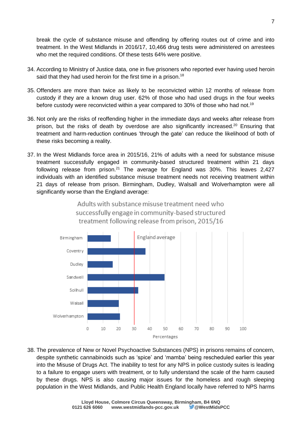break the cycle of substance misuse and offending by offering routes out of crime and into treatment. In the West Midlands in 2016/17, 10,466 drug tests were administered on arrestees who met the required conditions. Of these tests 64% were positive.

- 34. According to Ministry of Justice data, one in five prisoners who reported ever having used heroin said that they had used heroin for the first time in a prison.<sup>18</sup>
- 35. Offenders are more than twice as likely to be reconvicted within 12 months of release from custody if they are a known drug user. 62% of those who had used drugs in the four weeks before custody were reconvicted within a year compared to 30% of those who had not.<sup>19</sup>
- 36. Not only are the risks of reoffending higher in the immediate days and weeks after release from prison, but the risks of death by overdose are also significantly increased.<sup>20</sup> Ensuring that treatment and harm-reduction continues 'through the gate' can reduce the likelihood of both of these risks becoming a reality.
- 37. In the West Midlands force area in 2015/16, 21% of adults with a need for substance misuse treatment successfully engaged in community-based structured treatment within 21 days following release from prison.<sup>21</sup> The average for England was 30%. This leaves 2,427 individuals with an identified substance misuse treatment needs not receiving treatment within 21 days of release from prison. Birmingham, Dudley, Walsall and Wolverhampton were all significantly worse than the England average:



# Adults with substance misuse treatment need who successfully engage in community-based structured treatment following release from prison, 2015/16

38. The prevalence of New or Novel Psychoactive Substances (NPS) in prisons remains of concern, despite synthetic cannabinoids such as 'spice' and 'mamba' being rescheduled earlier this year into the Misuse of Drugs Act. The inability to test for any NPS in police custody suites is leading to a failure to engage users with treatment, or to fully understand the scale of the harm caused by these drugs. NPS is also causing major issues for the homeless and rough sleeping population in the West Midlands, and Public Health England locally have referred to NPS harms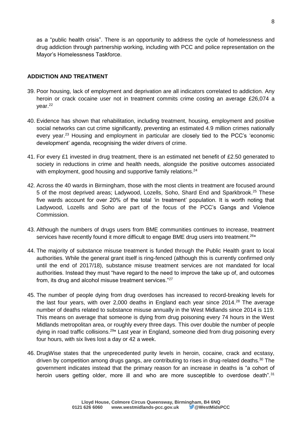as a "public health crisis". There is an opportunity to address the cycle of homelessness and drug addiction through partnership working, including with PCC and police representation on the Mayor's Homelessness Taskforce.

#### **ADDICTION AND TREATMENT**

- 39. Poor housing, lack of employment and deprivation are all indicators correlated to addiction. Any heroin or crack cocaine user not in treatment commits crime costing an average £26,074 a year.<sup>22</sup>
- 40. Evidence has shown that rehabilitation, including treatment, housing, employment and positive social networks can cut crime significantly, preventing an estimated 4.9 million crimes nationally every year. <sup>23</sup> Housing and employment in particular are closely tied to the PCC's 'economic development' agenda, recognising the wider drivers of crime.
- 41. For every £1 invested in drug treatment, there is an estimated net benefit of £2.50 generated to society in reductions in crime and health needs, alongside the positive outcomes associated with employment, good housing and supportive family relations.<sup>24</sup>
- 42. Across the 40 wards in Birmingham, those with the most clients in treatment are focused around 5 of the most deprived areas; Ladywood, Lozells, Soho, Shard End and Sparkbrook.<sup>25</sup> These five wards account for over 20% of the total 'in treatment' population. It is worth noting that Ladywood, Lozells and Soho are part of the focus of the PCC's Gangs and Violence Commission.
- 43. Although the numbers of drugs users from BME communities continues to increase, treatment services have recently found it more difficult to engage BME drug users into treatment.<sup>26\*</sup>
- 44. The majority of substance misuse treatment is funded through the Public Health grant to local authorities. While the general grant itself is ring-fenced (although this is currently confirmed only until the end of 2017/18), substance misuse treatment services are not mandated for local authorities. Instead they must "have regard to the need to improve the take up of, and outcomes from, its drug and alcohol misuse treatment services."<sup>27</sup>
- 45. The number of people dying from drug overdoses has increased to record-breaking levels for the last four years, with over 2,000 deaths in England each year since  $2014<sup>28</sup>$  The average number of deaths related to substance misuse annually in the West Midlands since 2014 is 119. This means on average that someone is dying from drug poisoning every 74 hours in the West Midlands metropolitan area, or roughly every three days. This over double the number of people dying in road traffic collisions.<sup>29\*</sup> Last year in England, someone died from drug poisoning every four hours, with six lives lost a day or 42 a week.
- 46. DrugWise states that the unprecedented purity levels in heroin, cocaine, crack and ecstasy, driven by competition among drugs gangs, are contributing to rises in drug-related deaths.<sup>30</sup> The government indicates instead that the primary reason for an increase in deaths is "a cohort of heroin users getting older, more ill and who are more susceptible to overdose death".<sup>31</sup>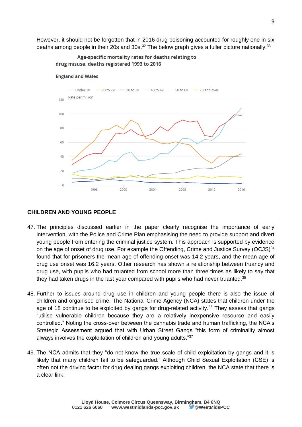However, it should not be forgotten that in 2016 drug poisoning accounted for roughly one in six deaths among people in their 20s and 30s.<sup>32</sup> The below graph gives a fuller picture nationally:<sup>33</sup>

Age-specific mortality rates for deaths relating to drug misuse, deaths registered 1993 to 2016



#### **England and Wales**

#### **CHILDREN AND YOUNG PEOPLE**

- 47. The principles discussed earlier in the paper clearly recognise the importance of early intervention, with the Police and Crime Plan emphasising the need to provide support and divert young people from entering the criminal justice system. This approach is supported by evidence on the age of onset of drug use. For example the Offending, Crime and Justice Survey (OCJS) $34$ found that for prisoners the mean age of offending onset was 14.2 years, and the mean age of drug use onset was 16.2 years. Other research has shown a relationship between truancy and drug use, with pupils who had truanted from school more than three times as likely to say that they had taken drugs in the last year compared with pupils who had never truanted. $35$
- 48. Further to issues around drug use in children and young people there is also the issue of children and organised crime. The National Crime Agency (NCA) states that children under the age of 18 continue to be exploited by gangs for drug-related activity.<sup>36</sup> They assess that gangs "utilise vulnerable children because they are a relatively inexpensive resource and easily controlled." Noting the cross-over between the cannabis trade and human trafficking, the NCA's Strategic Assessment argued that with Urban Street Gangs "this form of criminality almost always involves the exploitation of children and young adults."<sup>37</sup>
- 49. The NCA admits that they "do not know the true scale of child exploitation by gangs and it is likely that many children fail to be safeguarded." Although Child Sexual Exploitation (CSE) is often not the driving factor for drug dealing gangs exploiting children, the NCA state that there is a clear link.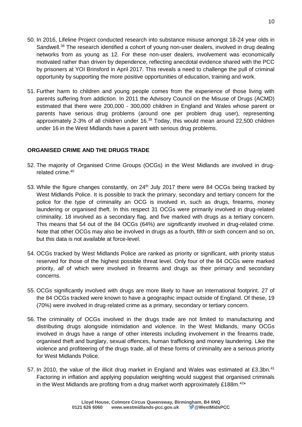- 50. In 2016, Lifeline Project conducted research into substance misuse amongst 18-24 year olds in Sandwell.<sup>38</sup> The research identified a cohort of young non-user dealers, involved in drug dealing networks from as young as 12. For these non-user dealers, involvement was economically motivated rather than driven by dependence, reflecting anecdotal evidence shared with the PCC by prisoners at YOI Brinsford in April 2017. This reveals a need to challenge the pull of criminal opportunity by supporting the more positive opportunities of education, training and work.
- 51. Further harm to children and young people comes from the experience of those living with parents suffering from addiction. In 2011 the Advisory Council on the Misuse of Drugs (ACMD) estimated that there were 200,000 - 300,000 children in England and Wales whose parent or parents have serious drug problems (around one per problem drug user), representing approximately 2-3% of all children under 16.<sup>39</sup> Today, this would mean around 22,500 children under 16 in the West Midlands have a parent with serious drug problems.

#### **ORGANISED CRIME AND THE DRUGS TRADE**

- 52. The majority of Organised Crime Groups (OCGs) in the West Midlands are involved in drugrelated crime.<sup>40</sup>
- 53. While the figure changes constantly, on 24<sup>th</sup> July 2017 there were 84 OCGs being tracked by West Midlands Police. It is possible to track the primary, secondary and tertiary concern for the police for the type of criminality an OCG is involved in, such as drugs, firearms, money laundering or organised theft. In this respect 31 OCGs were primarily involved in drug-related criminality, 18 involved as a secondary flag, and five marked with drugs as a tertiary concern. This means that 54 out of the 84 OCGs (64%) are *significantly* involved in drug-related crime. Note that other OCGs may also be involved in drugs as a fourth, fifth or sixth concern and so on, but this data is not available at force-level.
- 54. OCGs tracked by West Midlands Police are ranked as priority or significant, with priority status reserved for those of the highest possible threat level. Only four of the 84 OCGs were marked priority, *all* of which were involved in firearms and drugs as their primary and secondary concerns.
- 55. OCGs significantly involved with drugs are more likely to have an international footprint. 27 of the 84 OCGs tracked were known to have a geographic impact outside of England. Of these, 19 (70%) were involved in drug-related crime as a primary, secondary or tertiary concern.
- 56. The criminality of OCGs involved in the drugs trade are not limited to manufacturing and distributing drugs alongside intimidation and violence. In the West Midlands, many OCGs involved in drugs have a range of other interests including involvement in the firearms trade, organised theft and burglary, sexual offences, human trafficking and money laundering. Like the violence and profiteering of the drugs trade, all of these forms of criminality are a serious priority for West Midlands Police.
- 57. In 2010, the value of the illicit drug market in England and Wales was estimated at £3.3bn.<sup>41</sup> Factoring in inflation and applying population weighting would suggest that organised criminals in the West Midlands are profiting from a drug market worth approximately £188m. $42*$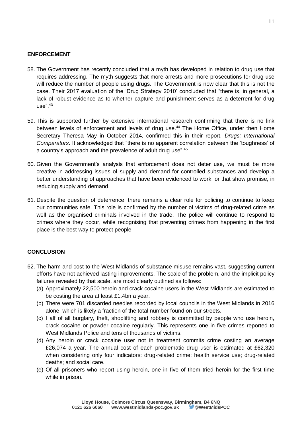#### **ENFORCEMENT**

- 58. The Government has recently concluded that a myth has developed in relation to drug use that requires addressing. The myth suggests that more arrests and more prosecutions for drug use will reduce the number of people using drugs. The Government is now clear that this is not the case. Their 2017 evaluation of the 'Drug Strategy 2010' concluded that "there is, in general, a lack of robust evidence as to whether capture and punishment serves as a deterrent for drug  $use"^{43}$
- 59. This is supported further by extensive international research confirming that there is no link between levels of enforcement and levels of drug use.<sup>44</sup> The Home Office, under then Home Secretary Theresa May in October 2014, confirmed this in their report, *Drugs: International Comparators*. It acknowledged that "there is no apparent correlation between the 'toughness' of a country's approach and the prevalence of adult drug use".<sup>45</sup>
- 60. Given the Government's analysis that enforcement does not deter use, we must be more creative in addressing issues of supply and demand for controlled substances and develop a better understanding of approaches that have been evidenced to work, or that show promise, in reducing supply and demand.
- 61. Despite the question of deterrence, there remains a clear role for policing to continue to keep our communities safe. This role is confirmed by the number of victims of drug-related crime as well as the organised criminals involved in the trade. The police will continue to respond to crimes where they occur, while recognising that preventing crimes from happening in the first place is the best way to protect people.

#### **CONCLUSION**

- 62. The harm and cost to the West Midlands of substance misuse remains vast, suggesting current efforts have not achieved lasting improvements. The scale of the problem, and the implicit policy failures revealed by that scale, are most clearly outlined as follows:
	- (a) Approximately 22,500 heroin and crack cocaine users in the West Midlands are estimated to be costing the area at least £1.4bn a year.
	- (b) There were 701 discarded needles recorded by local councils in the West Midlands in 2016 alone, which is likely a fraction of the total number found on our streets.
	- (c) Half of all burglary, theft, shoplifting and robbery is committed by people who use heroin, crack cocaine or powder cocaine regularly. This represents one in five crimes reported to West Midlands Police and tens of thousands of victims.
	- (d) Any heroin or crack cocaine user not in treatment commits crime costing an average £26,074 a year. The annual cost of each problematic drug user is estimated at £62,320 when considering only four indicators: drug-related crime; health service use; drug-related deaths; and social care.
	- (e) Of all prisoners who report using heroin, one in five of them tried heroin for the first time while in prison.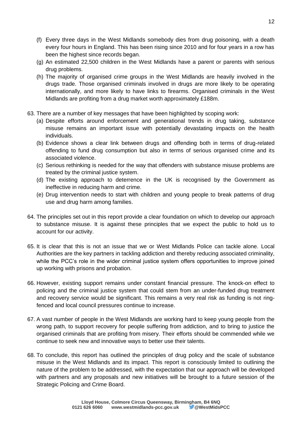- (f) Every three days in the West Midlands somebody dies from drug poisoning, with a death every four hours in England. This has been rising since 2010 and for four years in a row has been the highest since records began.
- (g) An estimated 22,500 children in the West Midlands have a parent or parents with serious drug problems.
- (h) The majority of organised crime groups in the West Midlands are heavily involved in the drugs trade. Those organised criminals involved in drugs are more likely to be operating internationally, and more likely to have links to firearms. Organised criminals in the West Midlands are profiting from a drug market worth approximately £188m.
- 63. There are a number of key messages that have been highlighted by scoping work:
	- (a) Despite efforts around enforcement and generational trends in drug taking, substance misuse remains an important issue with potentially devastating impacts on the health individuals.
	- (b) Evidence shows a clear link between drugs and offending both in terms of drug-related offending to fund drug consumption but also in terms of serious organised crime and its associated violence.
	- (c) Serious rethinking is needed for the way that offenders with substance misuse problems are treated by the criminal justice system.
	- (d) The existing approach to deterrence in the UK is recognised by the Government as ineffective in reducing harm and crime.
	- (e) Drug intervention needs to start with children and young people to break patterns of drug use and drug harm among families.
- 64. The principles set out in this report provide a clear foundation on which to develop our approach to substance misuse. It is against these principles that we expect the public to hold us to account for our activity.
- 65. It is clear that this is not an issue that we or West Midlands Police can tackle alone. Local Authorities are the key partners in tackling addiction and thereby reducing associated criminality, while the PCC's role in the wider criminal justice system offers opportunities to improve joined up working with prisons and probation.
- 66. However, existing support remains under constant financial pressure. The knock-on effect to policing and the criminal justice system that could stem from an under-funded drug treatment and recovery service would be significant. This remains a very real risk as funding is not ringfenced and local council pressures continue to increase.
- 67. A vast number of people in the West Midlands are working hard to keep young people from the wrong path, to support recovery for people suffering from addiction, and to bring to justice the organised criminals that are profiting from misery. Their efforts should be commended while we continue to seek new and innovative ways to better use their talents.
- 68. To conclude, this report has outlined the principles of drug policy and the scale of substance misuse in the West Midlands and its impact. This report is consciously limited to outlining the nature of the problem to be addressed, with the expectation that our approach will be developed with partners and any proposals and new initiatives will be brought to a future session of the Strategic Policing and Crime Board.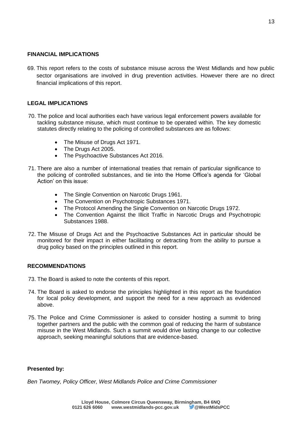#### **FINANCIAL IMPLICATIONS**

69. This report refers to the costs of substance misuse across the West Midlands and how public sector organisations are involved in drug prevention activities. However there are no direct financial implications of this report.

#### **LEGAL IMPLICATIONS**

- 70. The police and local authorities each have various legal enforcement powers available for tackling substance misuse, which must continue to be operated within. The key domestic statutes directly relating to the policing of controlled substances are as follows:
	- The Misuse of Drugs Act 1971.
	- The Drugs Act 2005.
	- The Psychoactive Substances Act 2016.
- 71. There are also a number of international treaties that remain of particular significance to the policing of controlled substances, and tie into the Home Office's agenda for 'Global Action' on this issue:
	- The Single Convention on Narcotic Drugs 1961.
	- The Convention on Psychotropic Substances 1971.
	- The Protocol Amending the Single Convention on Narcotic Drugs 1972.
	- The Convention Against the Illicit Traffic in Narcotic Drugs and Psychotropic Substances 1988.
- 72. The Misuse of Drugs Act and the Psychoactive Substances Act in particular should be monitored for their impact in either facilitating or detracting from the ability to pursue a drug policy based on the principles outlined in this report.

#### **RECOMMENDATIONS**

- 73. The Board is asked to note the contents of this report.
- 74. The Board is asked to endorse the principles highlighted in this report as the foundation for local policy development, and support the need for a new approach as evidenced above.
- 75. The Police and Crime Commissioner is asked to consider hosting a summit to bring together partners and the public with the common goal of reducing the harm of substance misuse in the West Midlands. Such a summit would drive lasting change to our collective approach, seeking meaningful solutions that are evidence-based.

#### **Presented by:**

*Ben Twomey, Policy Officer, West Midlands Police and Crime Commissioner*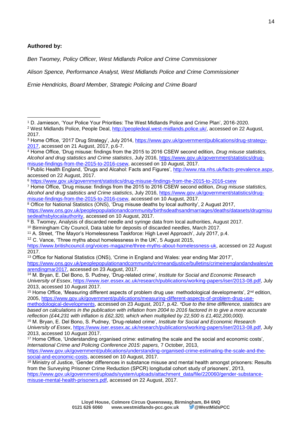#### **Authored by:**

*Ben Twomey, Policy Officer, West Midlands Police and Crime Commissioner*

*Alison Spence, Performance Analyst, West Midlands Police and Crime Commissioner*

*Ernie Hendricks, Board Member, Strategic Policing and Crime Board*

<sup>6</sup> <https://www.gov.uk/government/statistics/drug-misuse-findings-from-the-2015-to-2016-csew>

<sup>7</sup> Home Office, 'Drug misuse: findings from the 2015 to 2016 CSEW second edition, *Drug misuse statistics, Alcohol and drug statistics and Crime statistics*, July 2016, [https://www.gov.uk/government/statistics/drug](https://www.gov.uk/government/statistics/drug-misuse-findings-from-the-2015-to-2016-csew)[misuse-findings-from-the-2015-to-2016-csew,](https://www.gov.uk/government/statistics/drug-misuse-findings-from-the-2015-to-2016-csew) accessed on 10 August, 2017.

 $\overline{8}$  Office for National Statistics (ONS), 'Drug misuse deaths by local authority', 2 August 2017, [https://www.ons.gov.uk/peoplepopulationandcommunity/birthsdeathsandmarriages/deaths/datasets/drugmisu](https://www.ons.gov.uk/peoplepopulationandcommunity/birthsdeathsandmarriages/deaths/datasets/drugmisusedeathsbylocalauthority) [sedeathsbylocalauthority,](https://www.ons.gov.uk/peoplepopulationandcommunity/birthsdeathsandmarriages/deaths/datasets/drugmisusedeathsbylocalauthority) accessed on 10 August, 2017.

<sup>11</sup> A. Street, 'The Mayor's Homelessness Taskforce: High Level Approach', July 2017, p.4.

 $12$  C. Vance, 'Three myths about homelessness in the UK', 5 August 2015,

[https://www.britishcouncil.org/voices-magazine/three-myths-about-homelessness-uk,](https://www.britishcouncil.org/voices-magazine/three-myths-about-homelessness-uk) accessed on 22 August 2017.

<sup>13</sup> Office for National Statistics (ONS), 'Crime in England and Wales: year ending Mar 2017', [https://www.ons.gov.uk/peoplepopulationandcommunity/crimeandjustice/bulletins/crimeinenglandandwales/ye](https://www.ons.gov.uk/peoplepopulationandcommunity/crimeandjustice/bulletins/crimeinenglandandwales/yearendingmar2017) [arendingmar2017,](https://www.ons.gov.uk/peoplepopulationandcommunity/crimeandjustice/bulletins/crimeinenglandandwales/yearendingmar2017) accessed on 23 August, 2017.

<sup>14</sup> M. Bryan, E. Del Bono, S. Pudney, 'Drug-related crime', *Institute for Social and Economic Research University of Essex*, [https://www.iser.essex.ac.uk/research/publications/working-papers/iser/2013-08.pdf,](https://www.iser.essex.ac.uk/research/publications/working-papers/iser/2013-08.pdf) July 2013, accessed 10 August 2017.

<sup>15</sup> Home Office, 'Measuring different aspects of problem drug use: methodological developments',  $2^{nd}$  edition, 2005, [https://www.gov.uk/government/publications/measuring-different-aspects-of-problem-drug-use-](https://www.gov.uk/government/publications/measuring-different-aspects-of-problem-drug-use-methodological-developments)

[methodological-developments,](https://www.gov.uk/government/publications/measuring-different-aspects-of-problem-drug-use-methodological-developments) accessed on 23 August, 2017, p.42. *\*Due to the time difference, statistics are based on calculations in the publication with inflation from 2004 to 2016 factored in to give a more accurate reflection (£44,231 with inflation is £62,320, which when multiplied by 22,500 is £1,402,200,000).*

<sup>16</sup> M. Bryan, E. Del Bono, S. Pudney, 'Drug-related crime', *Institute for Social and Economic Research University of Essex*, [https://www.iser.essex.ac.uk/research/publications/working-papers/iser/2013-08.pdf,](https://www.iser.essex.ac.uk/research/publications/working-papers/iser/2013-08.pdf) July 2013, accessed 10 August 2017.

<sup>17</sup> Home Office, 'Understanding organised crime: estimating the scale and the social and economic costs', *International Crime and Policing Conference 2015: papers,* 7 October, 2013,

[https://www.gov.uk/government/publications/understanding-organised-crime-estimating-the-scale-and-the](https://www.gov.uk/government/publications/understanding-organised-crime-estimating-the-scale-and-the-social-and-economic-costs)[social-and-economic-costs,](https://www.gov.uk/government/publications/understanding-organised-crime-estimating-the-scale-and-the-social-and-economic-costs) accessed on 10 August, 2017.

<sup>-</sup><sup>1</sup> D. Jamieson, 'Your Police Your Priorities: The West Midlands Police and Crime Plan', 2016-2020.

<sup>&</sup>lt;sup>2</sup> West Midlands Police, People Deal, [http://peopledeal.west-midlands.police.uk/,](http://peopledeal.west-midlands.police.uk/) accessed on 22 August, 2017.

<sup>&</sup>lt;sup>3</sup> Home Office, '2017 Drug Strategy', July 2014, [https://www.gov.uk/government/publications/drug-strategy-](https://www.gov.uk/government/publications/drug-strategy-2017)[2017,](https://www.gov.uk/government/publications/drug-strategy-2017) accessed on 21 August, 2017, p.6-7.

<sup>4</sup> Home Office, 'Drug misuse: findings from the 2015 to 2016 CSEW second edition, *Drug misuse statistics, Alcohol and drug statistics and Crime statistics*, July 2016, [https://www.gov.uk/government/statistics/drug](https://www.gov.uk/government/statistics/drug-misuse-findings-from-the-2015-to-2016-csew)[misuse-findings-from-the-2015-to-2016-csew,](https://www.gov.uk/government/statistics/drug-misuse-findings-from-the-2015-to-2016-csew) accessed on 10 August, 2017.

<sup>5</sup> Public Health England, 'Drugs and Alcahol: Facts and Figures', [http://www.nta.nhs.uk/facts-prevalence.aspx,](http://www.nta.nhs.uk/facts-prevalence.aspx) accessed on 22 August, 2017.

<sup>&</sup>lt;sup>9</sup> B. Twomey, Analysis of discarded needle and syringe data from local authorities, August 2017. <sup>10</sup> Birmingham City Council, Data table for deposits of discarded needles, March 2017.

<sup>18</sup> Ministry of Justice, 'Gender differences in substance misuse and mental health amongst prisoners: Results from the Surveying Prisoner Crime Reduction (SPCR) longitudal cohort study of prisoners', 2013, [https://www.gov.uk/government/uploads/system/uploads/attachment\\_data/file/220060/gender-substance](https://www.gov.uk/government/uploads/system/uploads/attachment_data/file/220060/gender-substance-misuse-mental-health-prisoners.pdf)[misuse-mental-health-prisoners.pdf,](https://www.gov.uk/government/uploads/system/uploads/attachment_data/file/220060/gender-substance-misuse-mental-health-prisoners.pdf) accessed on 22 August, 2017.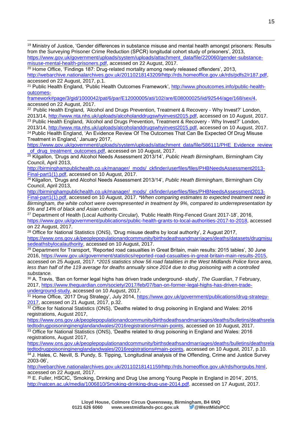-<sup>19</sup> Ministry of Justice, 'Gender differences in substance misuse and mental health amongst prisoners: Results from the Surveying Prisoner Crime Reduction (SPCR) longitudal cohort study of prisoners', 2013,

[framework#page/3/gid/1000042/pat/6/par/E12000005/ati/102/are/E08000025/iid/92544/age/168/sex/4,](http://www.phoutcomes.info/public-health-outcomes-framework#page/3/gid/1000042/pat/6/par/E12000005/ati/102/are/E08000025/iid/92544/age/168/sex/4) accessed on 22 August, 2017.

<sup>22</sup> Public Health England*, '*Alcohol and Drugs Prevention, Treatment & Recovery - Why Invest?' London, 2013/14, [http://www.nta.nhs.uk/uploads/alcoholanddrugswhyinvest2015.pdf,](http://www.nta.nhs.uk/uploads/alcoholanddrugswhyinvest2015.pdf) accessed on 10 August, 2017. <sup>23</sup> Public Health England*, '*Alcohol and Drugs Prevention, Treatment & Recovery - Why Invest?' London, 2013/14, [http://www.nta.nhs.uk/uploads/alcoholanddrugswhyinvest2015.pdf,](http://www.nta.nhs.uk/uploads/alcoholanddrugswhyinvest2015.pdf) accessed on 10 August, 2017.

<sup>24</sup> Public Health England, 'An Evidence Review Of The Outcomes That Can Be Expected Of Drug Misuse Treatment in England,' January 2017,

[https://www.gov.uk/government/uploads/system/uploads/attachment\\_data/file/586111/PHE\\_Evidence\\_review](https://www.gov.uk/government/uploads/system/uploads/attachment_data/file/586111/PHE_Evidence_review_of_drug_treatment_outcomes.pdf) of drug treatment outcomes.pdf, accessed on 10 August, 2017.

<sup>25</sup> Kilgallon, 'Drugs and Alcohol Needs Assessment 2013/14', *Public Heath Birmingham*, Birmingham City Council, April 2013,

[http://birminghampublichealth.co.uk/manager/\\_mods/\\_ckfinder/userfiles/files/PHBNeedsAssessment2013-](http://birminghampublichealth.co.uk/manager/_mods/_ckfinder/userfiles/files/PHBNeedsAssessment2013-Final-part1(1).pdf) [Final-part1\(1\).pdf,](http://birminghampublichealth.co.uk/manager/_mods/_ckfinder/userfiles/files/PHBNeedsAssessment2013-Final-part1(1).pdf) accessed on 10 August, 2017.

<sup>26</sup> Kilgallon, 'Drugs and Alcohol Needs Assessment 2013/14', *Public Heath Birmingham*, Birmingham City Council, April 2013,

[http://birminghampublichealth.co.uk/manager/\\_mods/\\_ckfinder/userfiles/files/PHBNeedsAssessment2013-](http://birminghampublichealth.co.uk/manager/_mods/_ckfinder/userfiles/files/PHBNeedsAssessment2013-Final-part1(1).pdf) [Final-part1\(1\).pdf,](http://birminghampublichealth.co.uk/manager/_mods/_ckfinder/userfiles/files/PHBNeedsAssessment2013-Final-part1(1).pdf) accessed on 10 August, 2017. *\*When comparing estimates to expected treatment need in Birmingham, the white cohort were overrepresented in treatment by 9%, compared to underrepresentation by 5% and 14% of black and Asian cohorts.*

<sup>27</sup> Department of Health (Local Authority Circular), *'*Public Health Ring-Fenced Grant 2017-18', 2016, [https://www.gov.uk/government/publications/public-health-grants-to-local-authorities-2017-to-2018,](https://www.gov.uk/government/publications/public-health-grants-to-local-authorities-2017-to-2018) accessed on 22 August, 2017.

<sup>28</sup> Office for National Statistics (ONS), 'Drug misuse deaths by local authority', 2 August 2017, [https://www.ons.gov.uk/peoplepopulationandcommunity/birthsdeathsandmarriages/deaths/datasets/drugmisu](https://www.ons.gov.uk/peoplepopulationandcommunity/birthsdeathsandmarriages/deaths/datasets/drugmisusedeathsbylocalauthority) [sedeathsbylocalauthority,](https://www.ons.gov.uk/peoplepopulationandcommunity/birthsdeathsandmarriages/deaths/datasets/drugmisusedeathsbylocalauthority) accessed on 10 August, 2017.

<sup>29</sup> Department for Transport, 'Reported road casualties in Great Britain, main results: 2015 tables', 30 June 2016, [https://www.gov.uk/government/statistics/reported-road-casualties-in-great-britain-main-results-2015,](https://www.gov.uk/government/statistics/reported-road-casualties-in-great-britain-main-results-2015)

accessed on 25 August, 2017. \**2015 statistics show 56 road fatalities in the West Midlands Police force area, less than half of the 119 average for deaths annually since 2014 due to drug poisoning with a controlled substance.* 

<sup>30</sup> A. Travis, 'Ban on former legal highs has driven trade underground- study', *The Guardian*, 7 February, 2017, [https://www.theguardian.com/society/2017/feb/07/ban-on-former-legal-highs-has-driven-trade](https://www.theguardian.com/society/2017/feb/07/ban-on-former-legal-highs-has-driven-trade-underground-study)[underground-study,](https://www.theguardian.com/society/2017/feb/07/ban-on-former-legal-highs-has-driven-trade-underground-study) accessed on 10 August, 2017.

31 Home Office, '2017 Drug Strategy', July 2014, [https://www.gov.uk/government/publications/drug-strategy-](https://www.gov.uk/government/publications/drug-strategy-2017)[2017,](https://www.gov.uk/government/publications/drug-strategy-2017) accessed on 21 August, 2017, p.32.

32 Office for National Statistics (ONS), 'Deaths related to drug poisoning in England and Wales: 2016 registrations, August 2017,

[https://www.ons.gov.uk/peoplepopulationandcommunity/birthsdeathsandmarriages/deaths/bulletins/deathsrela](https://www.ons.gov.uk/peoplepopulationandcommunity/birthsdeathsandmarriages/deaths/bulletins/deathsrelatedtodrugpoisoninginenglandandwales/2016registrations#main-points) [tedtodrugpoisoninginenglandandwales/2016registrations#main-points,](https://www.ons.gov.uk/peoplepopulationandcommunity/birthsdeathsandmarriages/deaths/bulletins/deathsrelatedtodrugpoisoninginenglandandwales/2016registrations#main-points) accessed on 10 August, 2017.

33 Office for National Statistics (ONS), 'Deaths related to drug poisoning in England and Wales: 2016 registrations, August 2017,

[https://www.ons.gov.uk/peoplepopulationandcommunity/birthsdeathsandmarriages/deaths/bulletins/deathsrela](https://www.ons.gov.uk/peoplepopulationandcommunity/birthsdeathsandmarriages/deaths/bulletins/deathsrelatedtodrugpoisoninginenglandandwales/2016registrations#main-points) [tedtodrugpoisoninginenglandandwales/2016registrations#main-points,](https://www.ons.gov.uk/peoplepopulationandcommunity/birthsdeathsandmarriages/deaths/bulletins/deathsrelatedtodrugpoisoninginenglandandwales/2016registrations#main-points) accessed on 10 August, 2017, p.10. 34 J. Hales, C. Nevill, S. Pundy, S. Tipping, 'Longitudinal analysis of the Offending, Crime and Justice Survey 2003-06',

[http://webarchive.nationalarchives.gov.uk/20110218141159/http://rds.homeoffice.gov.uk/rds/horrpubs.html,](http://webarchive.nationalarchives.gov.uk/20110218141159/http:/rds.homeoffice.gov.uk/rds/horrpubs.html) accessed on 22 August, 2017.

<sup>35</sup> E. Fuller, HSCIC, 'Smoking, Drinking and Drug Use among Young People in England in 2014', 2015, [http://natcen.ac.uk/media/1006810/Smoking-drinking-drug-use-2014.pdf,](http://natcen.ac.uk/media/1006810/Smoking-drinking-drug-use-2014.pdf) accessed on 17 August, 2017.

[https://www.gov.uk/government/uploads/system/uploads/attachment\\_data/file/220060/gender-substance](https://www.gov.uk/government/uploads/system/uploads/attachment_data/file/220060/gender-substance-misuse-mental-health-prisoners.pdf)[misuse-mental-health-prisoners.pdf,](https://www.gov.uk/government/uploads/system/uploads/attachment_data/file/220060/gender-substance-misuse-mental-health-prisoners.pdf) accessed on 22 August, 2017.

<sup>&</sup>lt;sup>20</sup> Home Office, 'Findings 187: Drug-related mortality among newly released offenders', 2013, [http://webarchive.nationalarchives.gov.uk/20110218143209/http://rds.homeoffice.gov.uk/rds/pdfs2/r187.pdf,](http://webarchive.nationalarchives.gov.uk/20110218143209/http:/rds.homeoffice.gov.uk/rds/pdfs2/r187.pdf) accessed on 22 August, 2017, p.1.

<sup>21</sup> Public Health England, 'Public Health Outcomes Framework', [http://www.phoutcomes.info/public-health](http://www.phoutcomes.info/public-health-outcomes-framework#page/3/gid/1000042/pat/6/par/E12000005/ati/102/are/E08000025/iid/92544/age/168/sex/4)[outcomes-](http://www.phoutcomes.info/public-health-outcomes-framework#page/3/gid/1000042/pat/6/par/E12000005/ati/102/are/E08000025/iid/92544/age/168/sex/4)